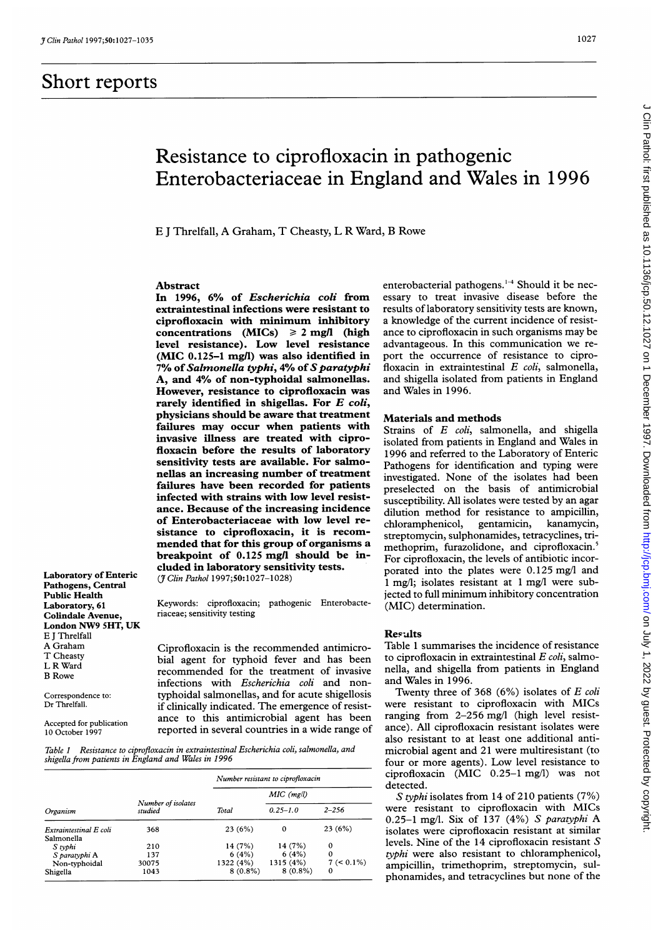Pathogens, Central Public Health

Colindale Avenue, London NW9 SHT, UK

E <sup>J</sup> Threlfall

# Resistance to ciprofloxacin in pathogenic Enterobacteriaceae in England and Wales in 1996

E <sup>J</sup> Threlfall, A Graham, T Cheasty, L R Ward, B Rowe

## Abstract

In 1996, 6% of Escherichia coli from extraintestinal infections were resistant to ciprofloxacin with minimum inhibitory concentrations (MICs)  $\geq 2$  mg/l (high level resistance). Low level resistance  $(MIC 0.125-1 mgl)$  was also identified in 7% of Salmonella typhi, 4% of S paratyphi A, and 4% of non-typhoidal salmonellas. However, resistance to ciprofloxacin was rarely identified in shigellas. For  $E$  coli, physicians should be aware that treatment failures may occur when patients with invasive illness are treated with ciprofloxacin before the results of laboratory sensitivity tests are available. For salmonellas an increasing number of treatment failures have been recorded for patients infected with strains with low level resistance. Because of the increasing incidence of Enterobacteriaceae with low level resistance to ciprofloxacin, it is recommended that for this group of organisms a breakpoint of 0.125 mg/l should be included in laboratory sensitivity tests. Laboratory of Enteric  $(7 \text{ Clin Path } 1997; 50: 1027-1028)$ 

Keywords: ciprofloxacin; pathogenic Enterobacte-<br>riaceae: sensitivity testing

A Graham Ciprofloxacin is the recommended antimicro-<br>T Cheasty is the local for typhoid fever and has been <sup>T</sup> Cheasty bial agent for typhoid fever and has been <sup>L</sup> <sup>R</sup> Ward recommended for the treatment of invasive <sup>B</sup> Rowe infections with Escherichia coli and non-Correspondence to: typhoidal salmonellas, and for acute shigellosis Dr Threlfall. if clinically indicated. The emergence of resist-Accepted for publication ance to this antimicrobial agent has been 10 October 1997 reported in several countries in a wide range of

Table <sup>1</sup> Resistance to ciprofloxacin in extraintestinal Escherichia coli, salmonella, and shigella from patients in England and Wales in 1996

| Organism                             | Number of isolates<br>studied | Number resistant to ciprofloxacin |              |               |
|--------------------------------------|-------------------------------|-----------------------------------|--------------|---------------|
|                                      |                               |                                   | $MIC$ (mg/l) |               |
|                                      |                               | Total                             | $0.25 - 1.0$ | $2 - 256$     |
| Extraintestinal E coli<br>Salmonella | 368                           | 23(6%)                            | $\mathbf 0$  | 23(6%)        |
| S typhi                              | 210                           | 14 (7%)                           | 14 (7%)      | 0             |
| S paratyphi A                        | 137                           | 6(4%)                             | 6(4%)        | $\Omega$      |
| Non-typhoidal                        | 30075                         | 1322 (4%)                         | 1315 (4%)    | $7 (< 0.1\%)$ |
| Shigella                             | 1043                          | $8(0.8\%)$                        | $8(0.8\%)$   | $\Omega$      |

enterobacterial pathogens. $1-4$  Should it be necessary to treat invasive disease before the results of laboratory sensitivity tests are known, a knowledge of the current incidence of resistance to ciprofloxacin in such organisms may be advantageous. In this communication we report the occurrence of resistance to ciprofloxacin in extraintestinal E coli, salmonella, and shigella isolated from patients in England and Wales in 1996.

### Materials and methods

Strains of E coli, salmonella, and shigella isolated from patients in England and Wales in 1996 and referred to the Laboratory of Enteric Pathogens for identification and typing were investigated. None of the isolates had been preselected on the basis of antimicrobial susceptibility. All isolates were tested by an agar dilution method for resistance to ampicillin, chloramphenicol, gentamicin, kanamycin, streptomycin, sulphonamides, tetracyclines, trimethoprim, furazolidone, and ciprofloxacin.<sup>5</sup> For ciprofloxacin, the levels of antibiotic incorporated into the plates were 0.125 mg/l and <sup>1</sup> mg/l; isolates resistant at <sup>1</sup> mg/l were subjected to full minimum inhibitory concentration (MIC) determination.

#### Results

Table <sup>1</sup> summarises the incidence of resistance to ciprofloxacin in extraintestinal  $E$  coli, salmonella, and shigella from patients in England and Wales in 1996.

Twenty three of 368  $(6%)$  isolates of E coli were resistant to ciprofloxacin with MICs ranging from 2-256 mg/l (high level resistance). All ciprofloxacin resistant isolates were also resistant to at least one additional antimicrobial agent and 21 were multiresistant (to four or more agents). Low level resistance to ciprofloxacin (MIC 0.25-1 mg/l) was not detected.

S typhi isolates from 14 of 210 patients (7%) were resistant to ciprofloxacin with MICs 0.25-1 mg/l. Six of <sup>137</sup> (4%) S paratyphi A isolates were ciprofloxacin resistant at similar levels. Nine of the 14 ciprofloxacin resistant S typhi were also resistant to chloramphenicol, ampicillin, trimethoprim, streptomycin, sulphonamides, and tetracyclines but none of the